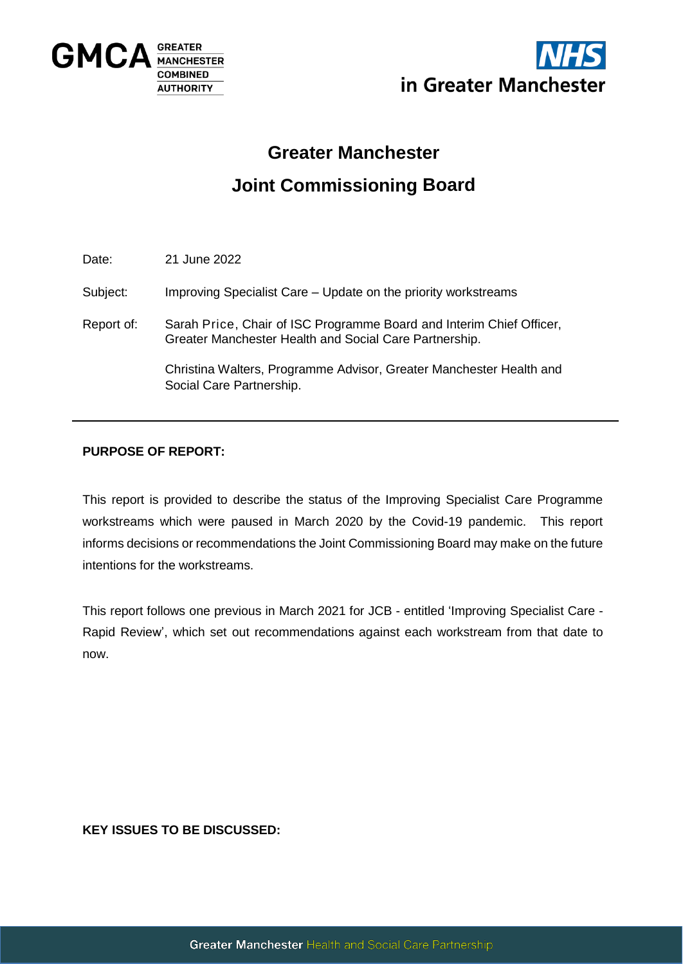



## **Greater Manchester**

# **Joint Commissioning Board**

Date: 21 June 2022

Subject: Improving Specialist Care – Update on the priority workstreams

Report of: Sarah Price, Chair of ISC Programme Board and Interim Chief Officer, Greater Manchester Health and Social Care Partnership.

> Christina Walters, Programme Advisor, Greater Manchester Health and Social Care Partnership.

## **PURPOSE OF REPORT:**

This report is provided to describe the status of the Improving Specialist Care Programme workstreams which were paused in March 2020 by the Covid-19 pandemic. This report informs decisions or recommendations the Joint Commissioning Board may make on the future intentions for the workstreams.

This report follows one previous in March 2021 for JCB - entitled 'Improving Specialist Care - Rapid Review', which set out recommendations against each workstream from that date to now.

**KEY ISSUES TO BE DISCUSSED:**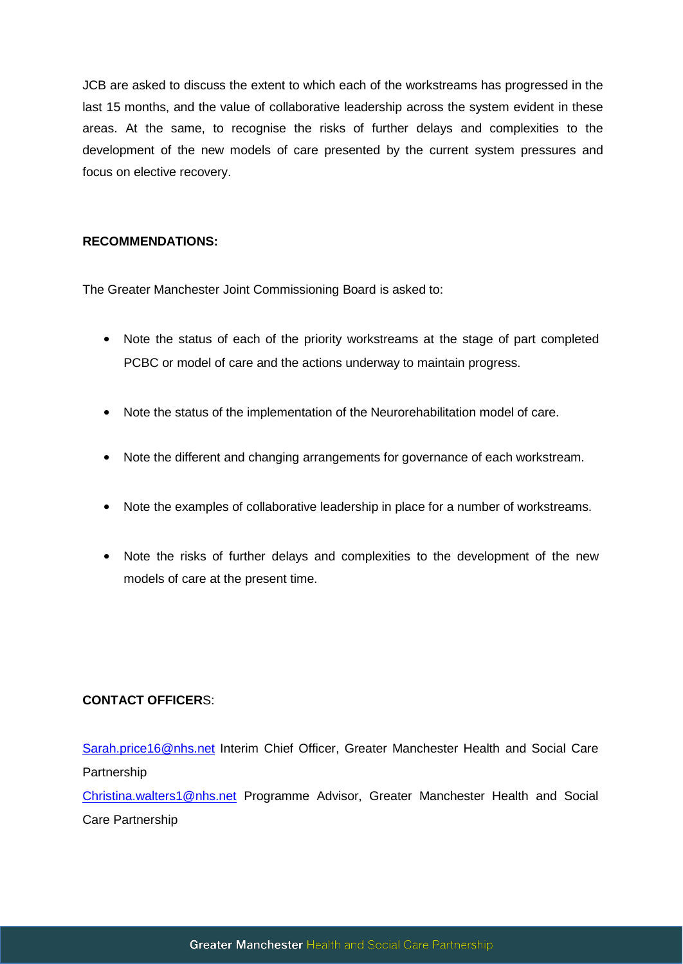JCB are asked to discuss the extent to which each of the workstreams has progressed in the last 15 months, and the value of collaborative leadership across the system evident in these areas. At the same, to recognise the risks of further delays and complexities to the development of the new models of care presented by the current system pressures and focus on elective recovery.

## **RECOMMENDATIONS:**

The Greater Manchester Joint Commissioning Board is asked to:

- Note the status of each of the priority workstreams at the stage of part completed PCBC or model of care and the actions underway to maintain progress.
- Note the status of the implementation of the Neurorehabilitation model of care.
- Note the different and changing arrangements for governance of each workstream.
- Note the examples of collaborative leadership in place for a number of workstreams.
- Note the risks of further delays and complexities to the development of the new models of care at the present time.

## **CONTACT OFFICER**S:

[Sarah.price16@nhs.net](mailto:Sarah.price16@nhs.net) Interim Chief Officer, Greater Manchester Health and Social Care Partnership

[Christina.walters1@nhs.net](mailto:Christina.walters1@nhs.net) Programme Advisor, Greater Manchester Health and Social Care Partnership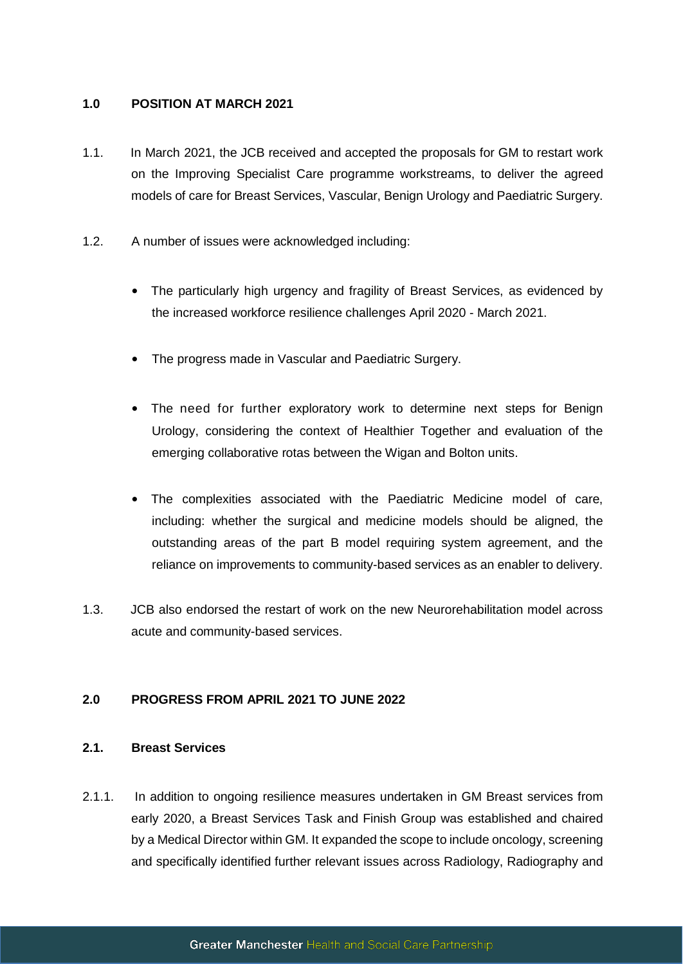## **1.0 POSITION AT MARCH 2021**

- 1.1. In March 2021, the JCB received and accepted the proposals for GM to restart work on the Improving Specialist Care programme workstreams, to deliver the agreed models of care for Breast Services, Vascular, Benign Urology and Paediatric Surgery.
- 1.2. A number of issues were acknowledged including:
	- The particularly high urgency and fragility of Breast Services, as evidenced by the increased workforce resilience challenges April 2020 - March 2021.
	- The progress made in Vascular and Paediatric Surgery.
	- The need for further exploratory work to determine next steps for Benign Urology, considering the context of Healthier Together and evaluation of the emerging collaborative rotas between the Wigan and Bolton units.
	- The complexities associated with the Paediatric Medicine model of care, including: whether the surgical and medicine models should be aligned, the outstanding areas of the part B model requiring system agreement, and the reliance on improvements to community-based services as an enabler to delivery.
- 1.3. JCB also endorsed the restart of work on the new Neurorehabilitation model across acute and community-based services.

## **2.0 PROGRESS FROM APRIL 2021 TO JUNE 2022**

## **2.1. Breast Services**

2.1.1. In addition to ongoing resilience measures undertaken in GM Breast services from early 2020, a Breast Services Task and Finish Group was established and chaired by a Medical Director within GM. It expanded the scope to include oncology, screening and specifically identified further relevant issues across Radiology, Radiography and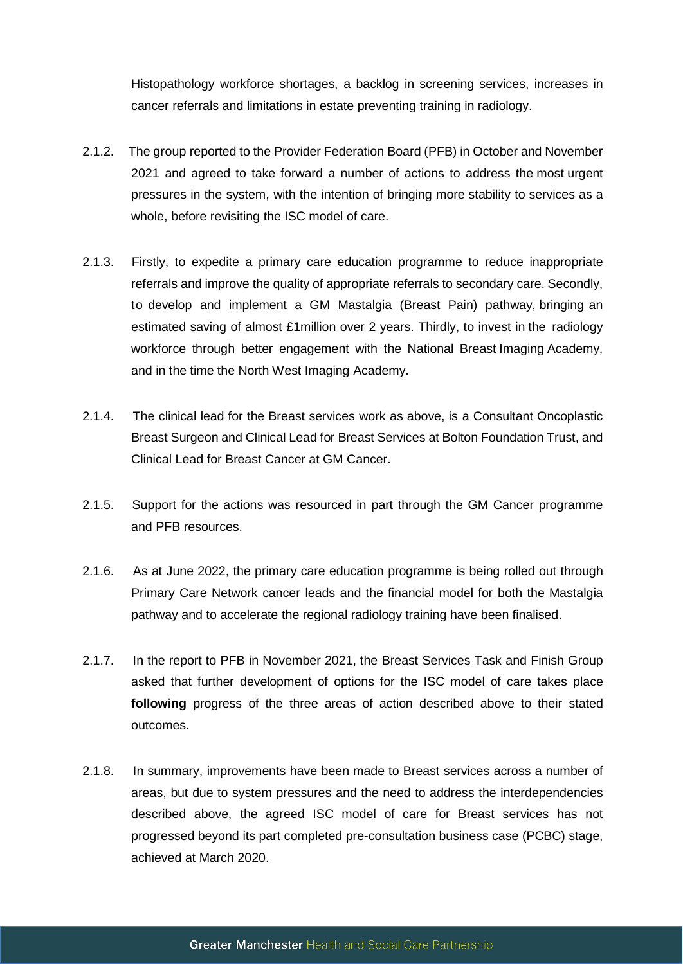Histopathology workforce shortages, a backlog in screening services, increases in cancer referrals and limitations in estate preventing training in radiology.

- 2.1.2. The group reported to the Provider Federation Board (PFB) in October and November 2021 and agreed to take forward a number of actions to address the most urgent pressures in the system, with the intention of bringing more stability to services as a whole, before revisiting the ISC model of care.
- 2.1.3. Firstly, to expedite a primary care education programme to reduce inappropriate referrals and improve the quality of appropriate referrals to secondary care. Secondly, to develop and implement a GM Mastalgia (Breast Pain) pathway, bringing an estimated saving of almost £1million over 2 years. Thirdly, to invest in the radiology workforce through better engagement with the National Breast Imaging Academy, and in the time the North West Imaging Academy.
- 2.1.4. The clinical lead for the Breast services work as above, is a Consultant Oncoplastic Breast Surgeon and Clinical Lead for Breast Services at Bolton Foundation Trust, and Clinical Lead for Breast Cancer at GM Cancer.
- 2.1.5. Support for the actions was resourced in part through the GM Cancer programme and PFB resources.
- 2.1.6. As at June 2022, the primary care education programme is being rolled out through Primary Care Network cancer leads and the financial model for both the Mastalgia pathway and to accelerate the regional radiology training have been finalised.
- 2.1.7. In the report to PFB in November 2021, the Breast Services Task and Finish Group asked that further development of options for the ISC model of care takes place **following** progress of the three areas of action described above to their stated outcomes.
- 2.1.8. In summary, improvements have been made to Breast services across a number of areas, but due to system pressures and the need to address the interdependencies described above, the agreed ISC model of care for Breast services has not progressed beyond its part completed pre-consultation business case (PCBC) stage, achieved at March 2020.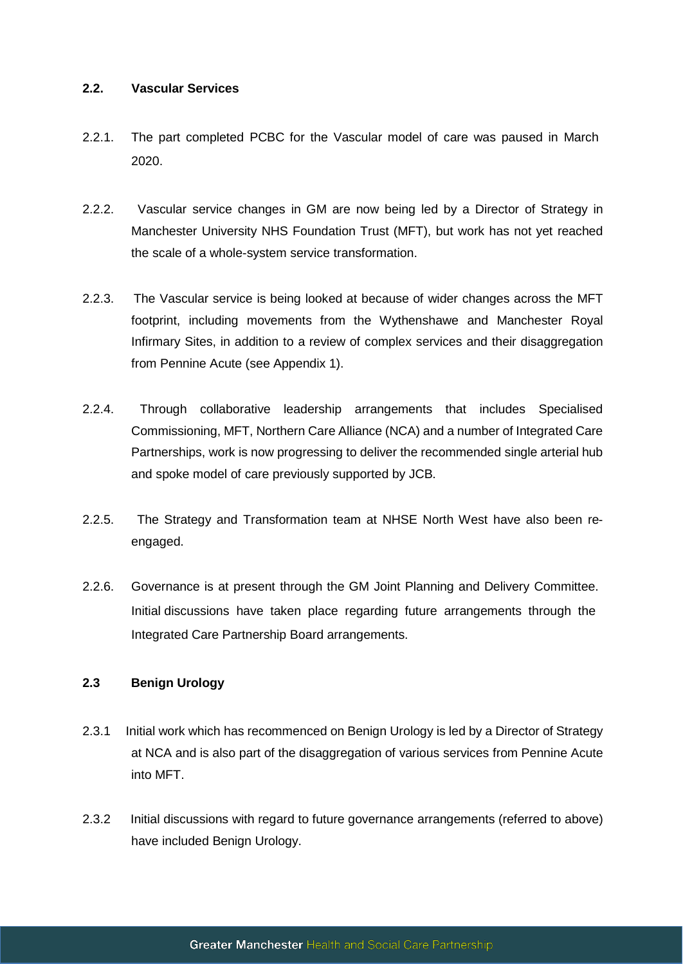#### **2.2. Vascular Services**

- 2.2.1. The part completed PCBC for the Vascular model of care was paused in March 2020.
- 2.2.2. Vascular service changes in GM are now being led by a Director of Strategy in Manchester University NHS Foundation Trust (MFT), but work has not yet reached the scale of a whole-system service transformation.
- 2.2.3. The Vascular service is being looked at because of wider changes across the MFT footprint, including movements from the Wythenshawe and Manchester Royal Infirmary Sites, in addition to a review of complex services and their disaggregation from Pennine Acute (see Appendix 1).
- 2.2.4. Through collaborative leadership arrangements that includes Specialised Commissioning, MFT, Northern Care Alliance (NCA) and a number of Integrated Care Partnerships, work is now progressing to deliver the recommended single arterial hub and spoke model of care previously supported by JCB.
- 2.2.5. The Strategy and Transformation team at NHSE North West have also been reengaged.
- 2.2.6. Governance is at present through the GM Joint Planning and Delivery Committee. Initial discussions have taken place regarding future arrangements through the Integrated Care Partnership Board arrangements.

## **2.3 Benign Urology**

- 2.3.1 Initial work which has recommenced on Benign Urology is led by a Director of Strategy at NCA and is also part of the disaggregation of various services from Pennine Acute into MFT.
- 2.3.2 Initial discussions with regard to future governance arrangements (referred to above) have included Benign Urology.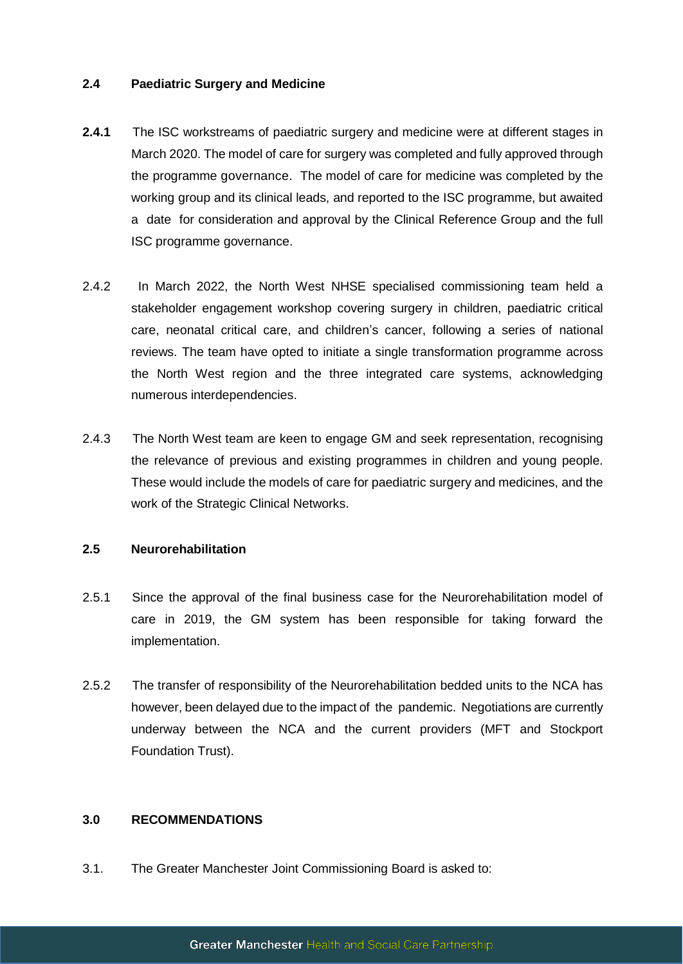## **2.4 Paediatric Surgery and Medicine**

- **2.4.1** The ISC workstreams of paediatric surgery and medicine were at different stages in March 2020. The model of care for surgery was completed and fully approved through the programme governance. The model of care for medicine was completed by the working group and its clinical leads, and reported to the ISC programme, but awaited a date for consideration and approval by the Clinical Reference Group and the full ISC programme governance.
- 2.4.2 In March 2022, the North West NHSE specialised commissioning team held a stakeholder engagement workshop covering surgery in children, paediatric critical care, neonatal critical care, and children's cancer, following a series of national reviews. The team have opted to initiate a single transformation programme across the North West region and the three integrated care systems, acknowledging numerous interdependencies.
- 2.4.3 The North West team are keen to engage GM and seek representation, recognising the relevance of previous and existing programmes in children and young people. These would include the models of care for paediatric surgery and medicines, and the work of the Strategic Clinical Networks.

#### **2.5 Neurorehabilitation**

- 2.5.1 Since the approval of the final business case for the Neurorehabilitation model of care in 2019, the GM system has been responsible for taking forward the implementation.
- 2.5.2 The transfer of responsibility of the Neurorehabilitation bedded units to the NCA has however, been delayed due to the impact of the pandemic. Negotiations are currently underway between the NCA and the current providers (MFT and Stockport Foundation Trust).

## **3.0 RECOMMENDATIONS**

3.1. The Greater Manchester Joint Commissioning Board is asked to: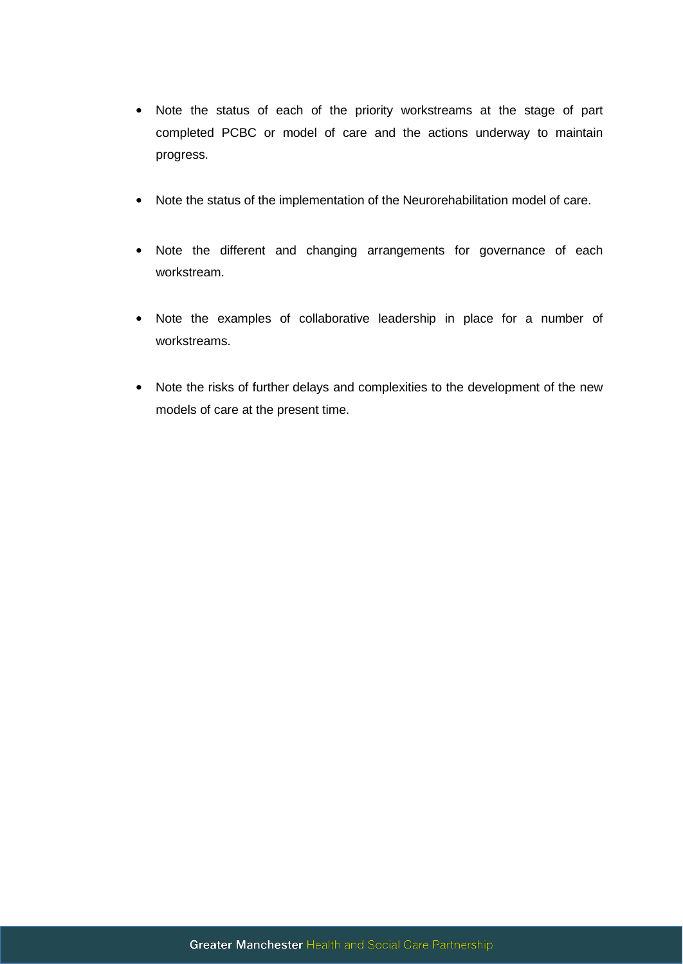- Note the status of each of the priority workstreams at the stage of part completed PCBC or model of care and the actions underway to maintain progress.
- Note the status of the implementation of the Neurorehabilitation model of care.
- Note the different and changing arrangements for governance of each workstream.
- Note the examples of collaborative leadership in place for a number of workstreams.
- Note the risks of further delays and complexities to the development of the new models of care at the present time.